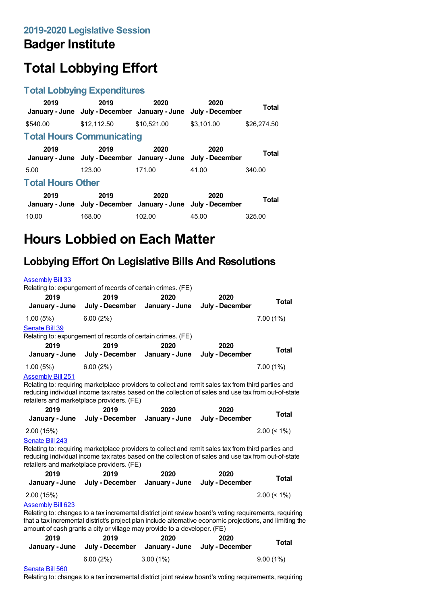## **Badger Institute**

# **Total Lobbying Effort**

### **Total Lobbying Expenditures**

| 2019<br>January - June   | 2019<br>July - December January - June                                | 2020        | 2020<br>July - December | Total       |
|--------------------------|-----------------------------------------------------------------------|-------------|-------------------------|-------------|
| \$540.00                 | \$12.112.50                                                           | \$10.521.00 | \$3.101.00              | \$26,274.50 |
|                          | <b>Total Hours Communicating</b>                                      |             |                         |             |
| 2019                     | 2019<br>January - June July - December January - June July - December | 2020        | 2020                    | Total       |
| 5.00                     | 123.00                                                                | 171.00      | 41.00                   | 340.00      |
| <b>Total Hours Other</b> |                                                                       |             |                         |             |
| 2019                     | 2019<br>January - June July - December January - June July - December | 2020        | 2020                    | Total       |
| 10.00                    | 168.00                                                                | 102.00      | 45.00                   | 325.00      |

## **Hours Lobbied on Each Matter**

### **Lobbying Effort On Legislative Bills And Resolutions**

| <b>Assembly Bill 33</b>  |                                                                                                                                                                                       |                |                 |                |
|--------------------------|---------------------------------------------------------------------------------------------------------------------------------------------------------------------------------------|----------------|-----------------|----------------|
|                          | Relating to: expungement of records of certain crimes. (FE)                                                                                                                           |                |                 |                |
| 2019                     | 2019                                                                                                                                                                                  | 2020           | 2020            | <b>Total</b>   |
| January - June           | July - December                                                                                                                                                                       | January - June | July - December |                |
| 1.00(5%)                 | 6.00(2%)                                                                                                                                                                              |                |                 | $7.00(1\%)$    |
| Senate Bill 39           |                                                                                                                                                                                       |                |                 |                |
|                          | Relating to: expungement of records of certain crimes. (FE)                                                                                                                           |                |                 |                |
| 2019                     | 2019                                                                                                                                                                                  | 2020           | 2020            | <b>Total</b>   |
| January - June           | July - December                                                                                                                                                                       | January - June | July - December |                |
| 1.00(5%)                 | 6.00(2%)                                                                                                                                                                              |                |                 | 7.00(1%)       |
| <b>Assembly Bill 251</b> |                                                                                                                                                                                       |                |                 |                |
|                          | Relating to: requiring marketplace providers to collect and remit sales tax from third parties and                                                                                    |                |                 |                |
|                          | reducing individual income tax rates based on the collection of sales and use tax from out-of-state                                                                                   |                |                 |                |
|                          | retailers and marketplace providers. (FE)                                                                                                                                             |                |                 |                |
| 2019                     | 2019                                                                                                                                                                                  | 2020           | 2020            | <b>Total</b>   |
| January - June           | July - December                                                                                                                                                                       | January - June | July - December |                |
| 2.00(15%)                |                                                                                                                                                                                       |                |                 | $2.00 \le 1\%$ |
| Senate Bill 243          |                                                                                                                                                                                       |                |                 |                |
|                          | Relating to: requiring marketplace providers to collect and remit sales tax from third parties and                                                                                    |                |                 |                |
|                          | reducing individual income tax rates based on the collection of sales and use tax from out-of-state                                                                                   |                |                 |                |
|                          | retailers and marketplace providers. (FE)                                                                                                                                             |                |                 |                |
| 2019                     | 2019                                                                                                                                                                                  | 2020           | 2020            | <b>Total</b>   |
|                          | January - June July - December                                                                                                                                                        | January - June | July - December |                |
| 2.00 (15%)               |                                                                                                                                                                                       |                |                 | $2.00 \le 1\%$ |
| <b>Assembly Bill 623</b> |                                                                                                                                                                                       |                |                 |                |
|                          | Relating to: changes to a tax incremental district joint review board's voting requirements, requiring                                                                                |                |                 |                |
|                          | that a tax incremental district's project plan include alternative economic projections, and limiting the<br>amount of cash grants a city or village may provide to a developer. (FE) |                |                 |                |
| 2019                     | 2019                                                                                                                                                                                  | 2020           | 2020            |                |
| January - June           | July - December                                                                                                                                                                       | January - June | July - December | <b>Total</b>   |
|                          | 6.00(2%)                                                                                                                                                                              | $3.00(1\%)$    |                 | 9.00(1%)       |
|                          |                                                                                                                                                                                       |                |                 |                |

#### [Senate](https://lobbying.wi.gov/What/BillInformation/2019REG/Information/17342?tab=Efforts) Bill 560

Relating to: changes to a tax incremental district joint review board's voting requirements, requiring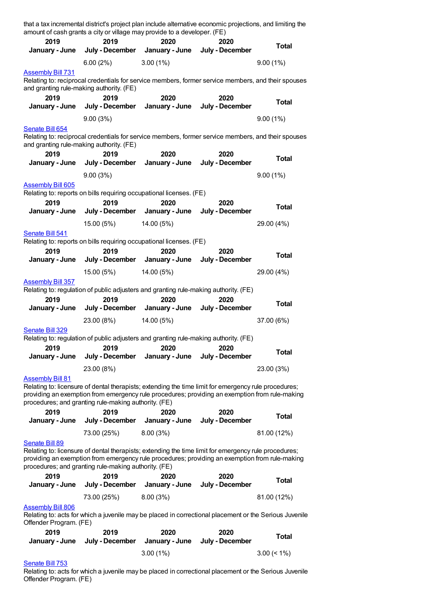|                                                                      |                             | that a tax incremental district's project plan include alternative economic projections, and limiting the<br>amount of cash grants a city or village may provide to a developer. (FE)                  |                         |                |
|----------------------------------------------------------------------|-----------------------------|--------------------------------------------------------------------------------------------------------------------------------------------------------------------------------------------------------|-------------------------|----------------|
| 2019<br>January - June                                               | 2019<br>July - December     | 2020<br>January - June                                                                                                                                                                                 | 2020<br>July - December | Total          |
|                                                                      | 6.00(2%)                    | $3.00(1\%)$                                                                                                                                                                                            |                         | 9.00(1%)       |
| <b>Assembly Bill 731</b><br>and granting rule-making authority. (FE) |                             | Relating to: reciprocal credentials for service members, former service members, and their spouses                                                                                                     |                         |                |
| 2019                                                                 | 2019                        | 2020                                                                                                                                                                                                   | 2020                    | <b>Total</b>   |
| January - June                                                       | July - December<br>9.00(3%) | January - June                                                                                                                                                                                         | July - December         | 9.00(1%)       |
| Senate Bill 654                                                      |                             |                                                                                                                                                                                                        |                         |                |
| and granting rule-making authority. (FE)                             |                             | Relating to: reciprocal credentials for service members, former service members, and their spouses                                                                                                     |                         |                |
| 2019<br>January - June                                               | 2019<br>July - December     | 2020<br>January - June                                                                                                                                                                                 | 2020<br>July - December | <b>Total</b>   |
|                                                                      | 9.00(3%)                    |                                                                                                                                                                                                        |                         | 9.00(1%)       |
| <b>Assembly Bill 605</b>                                             |                             |                                                                                                                                                                                                        |                         |                |
| 2019                                                                 | 2019                        | Relating to: reports on bills requiring occupational licenses. (FE)<br>2020                                                                                                                            | 2020                    |                |
| January - June                                                       | July - December             | January - June                                                                                                                                                                                         | July - December         | <b>Total</b>   |
|                                                                      | 15.00 (5%)                  | 14.00 (5%)                                                                                                                                                                                             |                         | 29.00 (4%)     |
| Senate Bill 541                                                      |                             | Relating to: reports on bills requiring occupational licenses. (FE)                                                                                                                                    |                         |                |
| 2019                                                                 | 2019                        | 2020                                                                                                                                                                                                   | 2020                    |                |
| January - June                                                       | July - December             | January - June                                                                                                                                                                                         | July - December         | <b>Total</b>   |
|                                                                      | 15.00 (5%)                  | 14.00 (5%)                                                                                                                                                                                             |                         | 29.00 (4%)     |
| <b>Assembly Bill 357</b>                                             |                             | Relating to: regulation of public adjusters and granting rule-making authority. (FE)                                                                                                                   |                         |                |
| 2019                                                                 | 2019                        | 2020                                                                                                                                                                                                   | 2020                    | <b>Total</b>   |
| January - June                                                       |                             | July - December January - June                                                                                                                                                                         | July - December         |                |
| <b>Senate Bill 329</b>                                               | 23.00 (8%)                  | 14.00 (5%)                                                                                                                                                                                             |                         | 37.00 (6%)     |
|                                                                      |                             | Relating to: regulation of public adjusters and granting rule-making authority. (FE)                                                                                                                   |                         |                |
| 2019                                                                 | 2019                        | 2020                                                                                                                                                                                                   | 2020                    | <b>Total</b>   |
| January - June                                                       | July - December             | January - June                                                                                                                                                                                         | July - December         |                |
| <b>Assembly Bill 81</b>                                              | 23.00 (8%)                  |                                                                                                                                                                                                        |                         | 23.00 (3%)     |
| procedures; and granting rule-making authority. (FE)                 |                             | Relating to: licensure of dental therapists; extending the time limit for emergency rule procedures;<br>providing an exemption from emergency rule procedures; providing an exemption from rule-making |                         |                |
| 2019<br>January - June                                               | 2019<br>July - December     | 2020<br>January - June                                                                                                                                                                                 | 2020<br>July - December | <b>Total</b>   |
|                                                                      | 73.00 (25%)                 | 8.00(3%)                                                                                                                                                                                               |                         | 81.00 (12%)    |
| <b>Senate Bill 89</b>                                                |                             |                                                                                                                                                                                                        |                         |                |
| procedures; and granting rule-making authority. (FE)                 |                             | Relating to: licensure of dental therapists; extending the time limit for emergency rule procedures;<br>providing an exemption from emergency rule procedures; providing an exemption from rule-making |                         |                |
| 2019<br>January - June                                               | 2019<br>July - December     | 2020<br>January - June                                                                                                                                                                                 | 2020<br>July - December | <b>Total</b>   |
|                                                                      | 73.00 (25%)                 | 8.00(3%)                                                                                                                                                                                               |                         | 81.00 (12%)    |
| <b>Assembly Bill 806</b><br>Offender Program. (FE)                   |                             | Relating to: acts for which a juvenile may be placed in correctional placement or the Serious Juvenile                                                                                                 |                         |                |
| 2019                                                                 | 2019                        | 2020                                                                                                                                                                                                   | 2020                    | <b>Total</b>   |
| January - June                                                       | July - December             | January - June                                                                                                                                                                                         | July - December         |                |
|                                                                      |                             | 3.00(1%)                                                                                                                                                                                               |                         | $3.00 \le 1\%$ |

#### [Senate](https://lobbying.wi.gov/What/BillInformation/2019REG/Information/17766?tab=Efforts) Bill 753

Relating to: acts for which a juvenile may be placed in correctional placement or the Serious Juvenile Offender Program. (FE)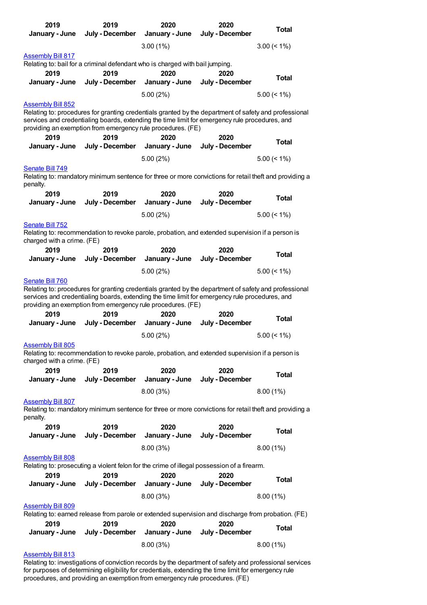| 2019                       | 2019                                                                         | 2020                   | 2020                                                                                                    | <b>Total</b>   |
|----------------------------|------------------------------------------------------------------------------|------------------------|---------------------------------------------------------------------------------------------------------|----------------|
| January - June             | July - December                                                              | January - June         | July - December                                                                                         |                |
|                            |                                                                              | $3.00(1\%)$            |                                                                                                         | $3.00 \le 1\%$ |
| <b>Assembly Bill 817</b>   |                                                                              |                        |                                                                                                         |                |
|                            | Relating to: bail for a criminal defendant who is charged with bail jumping. |                        |                                                                                                         |                |
| 2019                       | 2019                                                                         | 2020                   | 2020                                                                                                    |                |
| January - June             | July - December                                                              | January - June         | July - December                                                                                         | <b>Total</b>   |
|                            |                                                                              |                        |                                                                                                         |                |
|                            |                                                                              | 5.00(2%)               |                                                                                                         | $5.00 \le 1\%$ |
| <b>Assembly Bill 852</b>   |                                                                              |                        | Relating to: procedures for granting credentials granted by the department of safety and professional   |                |
|                            |                                                                              |                        | services and credentialing boards, extending the time limit for emergency rule procedures, and          |                |
|                            | providing an exemption from emergency rule procedures. (FE)                  |                        |                                                                                                         |                |
| 2019                       | 2019                                                                         | 2020                   | 2020                                                                                                    |                |
| January - June             | July - December                                                              | January - June         | July - December                                                                                         | <b>Total</b>   |
|                            |                                                                              |                        |                                                                                                         |                |
|                            |                                                                              | 5.00(2%)               |                                                                                                         | $5.00 \le 1\%$ |
| Senate Bill 749            |                                                                              |                        |                                                                                                         |                |
| penalty.                   |                                                                              |                        | Relating to: mandatory minimum sentence for three or more convictions for retail theft and providing a  |                |
| 2019                       | 2019                                                                         | 2020                   | 2020                                                                                                    |                |
| January - June             | July - December                                                              | January - June         | July - December                                                                                         | <b>Total</b>   |
|                            |                                                                              |                        |                                                                                                         |                |
|                            |                                                                              | 5.00(2%)               |                                                                                                         | $5.00 \le 1\%$ |
| Senate Bill 752            |                                                                              |                        |                                                                                                         |                |
|                            |                                                                              |                        | Relating to: recommendation to revoke parole, probation, and extended supervision if a person is        |                |
| charged with a crime. (FE) |                                                                              |                        |                                                                                                         |                |
| 2019                       | 2019<br>July - December                                                      | 2020<br>January - June | 2020<br>July - December                                                                                 | <b>Total</b>   |
| January - June             |                                                                              |                        |                                                                                                         |                |
|                            |                                                                              | 5.00(2%)               |                                                                                                         | $5.00 \le 1\%$ |
| Senate Bill 760            |                                                                              |                        |                                                                                                         |                |
|                            |                                                                              |                        | Relating to: procedures for granting credentials granted by the department of safety and professional   |                |
|                            | providing an exemption from emergency rule procedures. (FE)                  |                        | services and credentialing boards, extending the time limit for emergency rule procedures, and          |                |
| 2019                       | 2019                                                                         |                        |                                                                                                         |                |
| January - June             | July - December January - June                                               | 2020                   | 2020<br>July - December                                                                                 | <b>Total</b>   |
|                            |                                                                              |                        |                                                                                                         |                |
|                            |                                                                              | 5.00(2%)               |                                                                                                         | $5.00 \le 1\%$ |
| <b>Assembly Bill 805</b>   |                                                                              |                        |                                                                                                         |                |
|                            |                                                                              |                        | Relating to: recommendation to revoke parole, probation, and extended supervision if a person is        |                |
| charged with a crime. (FE) |                                                                              |                        |                                                                                                         |                |
| 2019                       | 2019                                                                         | 2020                   | 2020                                                                                                    | <b>Total</b>   |
| January - June             | July - December                                                              | January - June         | July - December                                                                                         |                |
|                            |                                                                              | 8.00(3%)               |                                                                                                         | 8.00(1%)       |
| <b>Assembly Bill 807</b>   |                                                                              |                        |                                                                                                         |                |
|                            |                                                                              |                        | Relating to: mandatory minimum sentence for three or more convictions for retail theft and providing a  |                |
| penalty.                   |                                                                              |                        |                                                                                                         |                |
| 2019                       | 2019                                                                         | 2020                   | 2020                                                                                                    | <b>Total</b>   |
| January - June             | July - December                                                              | January - June         | July - December                                                                                         |                |
|                            |                                                                              | 8.00(3%)               |                                                                                                         | $8.00(1\%)$    |
| <b>Assembly Bill 808</b>   |                                                                              |                        |                                                                                                         |                |
|                            |                                                                              |                        | Relating to: prosecuting a violent felon for the crime of illegal possession of a firearm.              |                |
| 2019                       | 2019                                                                         | 2020                   | 2020                                                                                                    |                |
| January - June             | July - December                                                              | January - June         | July - December                                                                                         | <b>Total</b>   |
|                            |                                                                              | 8.00(3%)               |                                                                                                         | 8.00(1%)       |
| <b>Assembly Bill 809</b>   |                                                                              |                        |                                                                                                         |                |
|                            |                                                                              |                        | Relating to: earned release from parole or extended supervision and discharge from probation. (FE)      |                |
| 2019                       | 2019                                                                         | 2020                   | 2020                                                                                                    |                |
| January - June             | July - December                                                              | January - June         | July - December                                                                                         | <b>Total</b>   |
|                            |                                                                              |                        |                                                                                                         |                |
|                            |                                                                              | 8.00(3%)               |                                                                                                         | 8.00(1%)       |
| <b>Assembly Bill 813</b>   |                                                                              |                        |                                                                                                         |                |
|                            |                                                                              |                        | Relating to: investigations of conviction records by the department of safety and professional services |                |

Relating to: investigations of conviction records by the department of safety and professional services for purposes of determining eligibility for credentials, extending the time limit for emergency rule procedures, and providing an exemption from emergency rule procedures. (FE)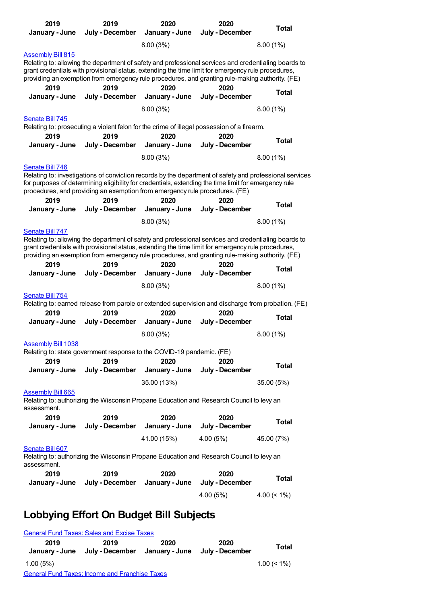| 2019<br>January - June                                                                                                                                                                                                                                                                                                           |  | 2019<br>July - December | 2020<br>January - June | 2020<br>July - December                                                                                                                                                                                                                                                                                       | <b>Total</b>   |
|----------------------------------------------------------------------------------------------------------------------------------------------------------------------------------------------------------------------------------------------------------------------------------------------------------------------------------|--|-------------------------|------------------------|---------------------------------------------------------------------------------------------------------------------------------------------------------------------------------------------------------------------------------------------------------------------------------------------------------------|----------------|
|                                                                                                                                                                                                                                                                                                                                  |  |                         | 8.00(3%)               |                                                                                                                                                                                                                                                                                                               | 8.00 (1%)      |
| <b>Assembly Bill 815</b>                                                                                                                                                                                                                                                                                                         |  |                         |                        | Relating to: allowing the department of safety and professional services and credentialing boards to<br>grant credentials with provisional status, extending the time limit for emergency rule procedures,<br>providing an exemption from emergency rule procedures, and granting rule-making authority. (FE) |                |
| 2019<br>January - June                                                                                                                                                                                                                                                                                                           |  | 2019<br>July - December | 2020<br>January - June | 2020<br>July - December                                                                                                                                                                                                                                                                                       | <b>Total</b>   |
|                                                                                                                                                                                                                                                                                                                                  |  |                         | 8.00(3%)               |                                                                                                                                                                                                                                                                                                               | 8.00(1%)       |
| Senate Bill 745                                                                                                                                                                                                                                                                                                                  |  |                         |                        | Relating to: prosecuting a violent felon for the crime of illegal possession of a firearm.                                                                                                                                                                                                                    |                |
| 2019                                                                                                                                                                                                                                                                                                                             |  | 2019                    | 2020                   | 2020                                                                                                                                                                                                                                                                                                          |                |
| January - June                                                                                                                                                                                                                                                                                                                   |  | July - December         | January - June         | July - December                                                                                                                                                                                                                                                                                               | <b>Total</b>   |
|                                                                                                                                                                                                                                                                                                                                  |  |                         | 8.00(3%)               |                                                                                                                                                                                                                                                                                                               | $8.00(1\%)$    |
| Senate Bill 746                                                                                                                                                                                                                                                                                                                  |  |                         |                        |                                                                                                                                                                                                                                                                                                               |                |
| for purposes of determining eligibility for credentials, extending the time limit for emergency rule                                                                                                                                                                                                                             |  |                         |                        | Relating to: investigations of conviction records by the department of safety and professional services                                                                                                                                                                                                       |                |
| procedures, and providing an exemption from emergency rule procedures. (FE)<br>2019                                                                                                                                                                                                                                              |  | 2019                    | 2020                   | 2020                                                                                                                                                                                                                                                                                                          |                |
| January - June                                                                                                                                                                                                                                                                                                                   |  | July - December         | January - June         | July - December                                                                                                                                                                                                                                                                                               | <b>Total</b>   |
|                                                                                                                                                                                                                                                                                                                                  |  |                         | 8.00(3%)               |                                                                                                                                                                                                                                                                                                               | 8.00(1%)       |
| Senate Bill 747<br>Relating to: allowing the department of safety and professional services and credentialing boards to<br>grant credentials with provisional status, extending the time limit for emergency rule procedures,<br>providing an exemption from emergency rule procedures, and granting rule-making authority. (FE) |  |                         |                        |                                                                                                                                                                                                                                                                                                               |                |
| 2019<br>January - June                                                                                                                                                                                                                                                                                                           |  | 2019<br>July - December | 2020<br>January - June | 2020<br>July - December                                                                                                                                                                                                                                                                                       | <b>Total</b>   |
|                                                                                                                                                                                                                                                                                                                                  |  |                         | 8.00(3%)               |                                                                                                                                                                                                                                                                                                               | 8.00(1%)       |
| Senate Bill 754<br>2019<br>January - June                                                                                                                                                                                                                                                                                        |  | 2019<br>July - December | 2020<br>January - June | Relating to: earned release from parole or extended supervision and discharge from probation. (FE)<br>2020<br>July - December                                                                                                                                                                                 | Total          |
|                                                                                                                                                                                                                                                                                                                                  |  |                         | 8.00(3%)               |                                                                                                                                                                                                                                                                                                               | 8.00(1%)       |
| <b>Assembly Bill 1038</b><br>Relating to: state government response to the COVID-19 pandemic. (FE)<br>2019                                                                                                                                                                                                                       |  | 2019                    | 2020                   | 2020                                                                                                                                                                                                                                                                                                          |                |
| January - June                                                                                                                                                                                                                                                                                                                   |  | July - December         | January - June         | July - December                                                                                                                                                                                                                                                                                               | <b>Total</b>   |
|                                                                                                                                                                                                                                                                                                                                  |  |                         | 35.00 (13%)            |                                                                                                                                                                                                                                                                                                               | 35.00 (5%)     |
| <b>Assembly Bill 665</b><br>assessment.                                                                                                                                                                                                                                                                                          |  |                         |                        | Relating to: authorizing the Wisconsin Propane Education and Research Council to levy an                                                                                                                                                                                                                      |                |
| 2019<br>January - June                                                                                                                                                                                                                                                                                                           |  | 2019<br>July - December | 2020<br>January - June | 2020<br>July - December                                                                                                                                                                                                                                                                                       | <b>Total</b>   |
|                                                                                                                                                                                                                                                                                                                                  |  |                         | 41.00 (15%)            | 4.00(5%)                                                                                                                                                                                                                                                                                                      | 45.00 (7%)     |
| Senate Bill 607<br>assessment.                                                                                                                                                                                                                                                                                                   |  |                         |                        | Relating to: authorizing the Wisconsin Propane Education and Research Council to levy an                                                                                                                                                                                                                      |                |
| 2019                                                                                                                                                                                                                                                                                                                             |  | 2019                    | 2020                   | 2020                                                                                                                                                                                                                                                                                                          | <b>Total</b>   |
| January - June                                                                                                                                                                                                                                                                                                                   |  | July - December         | January - June         | July - December<br>4.00 (5%)                                                                                                                                                                                                                                                                                  | 4.00 $($ < 1%) |
|                                                                                                                                                                                                                                                                                                                                  |  |                         |                        |                                                                                                                                                                                                                                                                                                               |                |
| <b>Lobbying Effort On Budget Bill Subjects</b>                                                                                                                                                                                                                                                                                   |  |                         |                        |                                                                                                                                                                                                                                                                                                               |                |

#### [General](https://lobbying.wi.gov/What/BudgetBillSubjectInformation/2019REG/Information/900?tab=Efforts) Fund Taxes: Sales and Excise Taxes **2019 January - June July - December January - June July - December 2019 2020 2020 Total** 1.00 (5%) 1.00 (< 1%) General Fund Taxes: Income and [Franchise](https://lobbying.wi.gov/What/BudgetBillSubjectInformation/2019REG/Information/899?tab=Efforts) Taxes